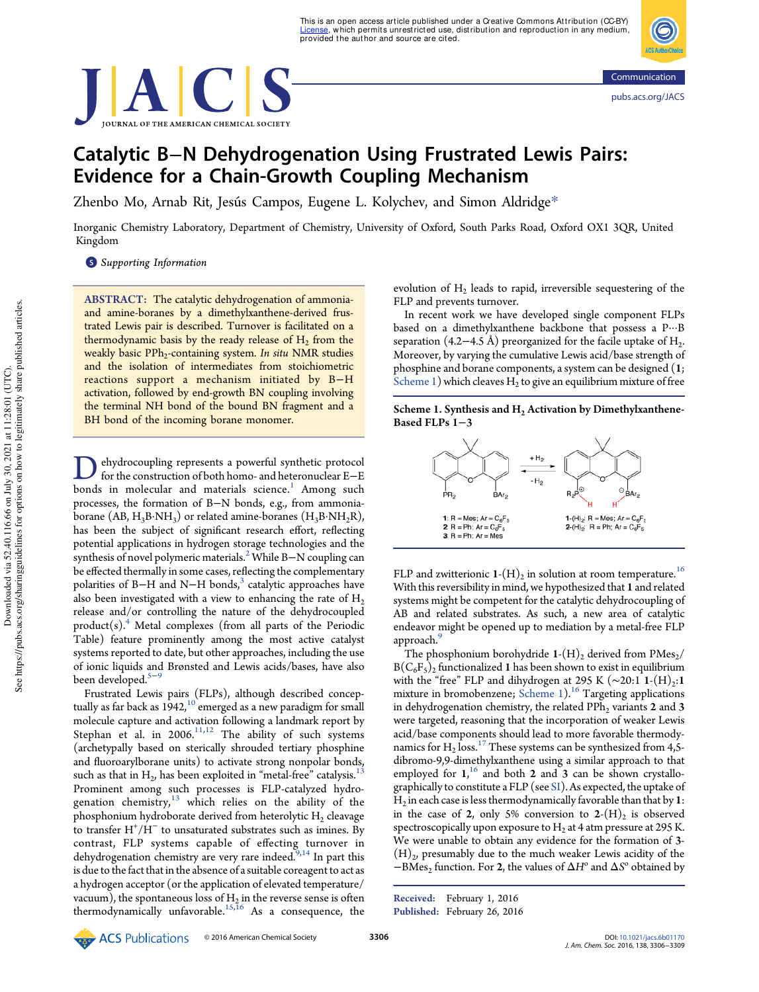



# Catalytic B−N Dehydrogenation Using Frustrated Lewis Pairs: Evidence for a Chain-Growth Coupling Mechanism

Zhenbo Mo, Arnab Rit, Jesús Campos, Eugene L. Kolychev, and Simon Aldridge\*

Inorganic Chemistry Laboratory, Department of Chemistry, University of Oxford, South Parks Road, Oxford OX1 3QR, United Kingdom

**S** Supporting Information

ABSTRACT: The catalytic dehydrogenation of ammoniaand amine-boranes by a dimethylxanthene-derived frustrated Lewis pair is described. Turnover is facilitated on a thermodynamic basis by the ready release of  $\rm{H}_{2}$  from the weakly basic PPh<sub>2</sub>-containing system. *In situ* NMR studies and the isolation of intermediates from stoichiometric reactions support a mechanism initiated by B−H activation, followed by end-growth BN coupling involving the terminal NH bond of the bound BN fragment and a BH bond of the incoming borane monomer.

**D** ehydrocoupling represents a powerful synthetic protocol<br>for the construction of both homo- and heteronuclear E–E<br>bonds in molecular and materials science.<sup>1</sup> Among such ehydrocoupling represents a powerful synthetic protocol for the construction of both homo- and heteronuclear E−E processes, the formation of B−N bonds, e.g., from ammoniaborane  $(AB, H_3B\cdot NH_3)$  or related amine-boranes  $(H_3B\cdot NH_2R)$ , has been the subject of significant research effort, reflecting potential applications in hydrogen storage technologies and the synthesis of novel polymeric materials.<sup>2</sup> While B–N coupling can be effected thermally in some cases, reflecting the complementary polarities of B−H and N−H bonds,<sup>3</sup> catalytic approaches have also been investigated with a view to enhancing the rate of  $H_2$ release and/or controlling the nature of the dehydrocoupled  $product(s)$ <sup>4</sup>. Metal complexes (from all parts of the Periodic Table) feature prominently among the most active catalyst systems reported to date, but other approaches, including the use of ionic liquids and Brønsted and Lewis acids/bases, have also been developed.<sup>5−9</sup>

Frustrated Lewis pairs (FLPs), although described conceptually as far back as  $1942$ ,<sup>10</sup> emerged as a new paradigm for small molecule capture and activation following a landmark report by Stephan et al. in  $2006$ .<sup>11,12</sup> The ability of such systems (archetypally based on sterically shrouded tertiary phosphine and fluoroarylborane units) to activate strong nonpolar bonds, such as that in  $\rm{H}_{2}$ , has been exploited in "metal-free" catalysis.  $^{13}$ Prominent among such processes is FLP-catalyzed hydrogenation chemistry, $13$  which relies on the ability of the phosphonium hydroborate derived from heterolytic  $\rm{H}_{2}$  cleavage to transfer H<sup>+</sup> /H<sup>−</sup> to unsaturated substrates such as imines. By contrast, FLP systems capable of effecting turnover in dehydrogenation chemistry are very rare indeed.<sup>9,14</sup> In part this is due to the fact that in the absence of a suitable coreagent to act as a hydrogen acceptor (or the application of elevated temperature/ vacuum), the spontaneous loss of  $\rm{H}_{2}$  in the reverse sense is often thermodynamically unfavorable.<sup>15,16</sup> As a consequence, the

evolution of  $H_2$  leads to rapid, irreversible sequestering of the FLP and prevents turnover.

In recent work we have developed single component FLPs based on a dimethylxanthene backbone that possess a P···B separation (4.2−4.5 Å) preorganized for the facile uptake of  $H_2$ . . Moreover, by varying the cumulative Lewis acid/base strength of phosphine and borane components, a system can be designed (1; Scheme 1) which cleaves  $H_2$  to give an equilibrium mixture of free





FLP and zwitterionic  $\mathbf{1}\text{-}\mathrm{(H)}_{2}$  in solution at room temperature.  $^{16}$ With this reversibility in mind, we hypothesized that 1 and related systems might be competent for the catalytic dehydrocoupling of AB and related substrates. As such, a new area of catalytic endeavor might be opened up to mediation by a metal-free FLP approach.<sup>9</sup>

The phosphonium borohydride  $1-(H)_2$  derived from PMes<sub>2</sub>/  $B(C_6F_5)_2$  functionalized 1 has been shown to exist in equilibrium with the "free" FLP and dihydrogen at 295 K (~20:1 1-(H)<sub>2</sub>:1 mixture in bromobenzene; Scheme 1).<sup>16</sup> Targeting applications in dehydrogenation chemistry, the related  $PPh<sub>2</sub>$  variants 2 and 3 were targeted, reasoning that the incorporation of weaker Lewis acid/base components should lead to more favorable thermodynamics for  $H_2$  loss.<sup>17</sup> These systems can be synthesized from 4,5dibromo-9,9-dimethylxanthene using a similar approach to that employed for  $1$ ,<sup>16</sup> and both 2 and 3 can be shown crystallographically to constitute a FLP (see SI). As expected, the uptake of  $\rm{H}_{2}$  in each case is less thermodynamically favorable than that by 1: in the case of 2, only 5% conversion to  $2-(H)_2$  is observed spectroscopically upon exposure to  $\rm H_2$  at 4 atm pressure at 295 K. We were unable to obtain any evidence for the formation of 3-  $(H)_2$ , presumably due to the much weaker Lewis acidity of the  $-\overline{\text{BMs}}_2$  function. For 2, the values of  $\Delta H^{\circ}$  and  $\Delta S^{\circ}$  obtained by

Received: February 1, 2016 Published: February 26, 2016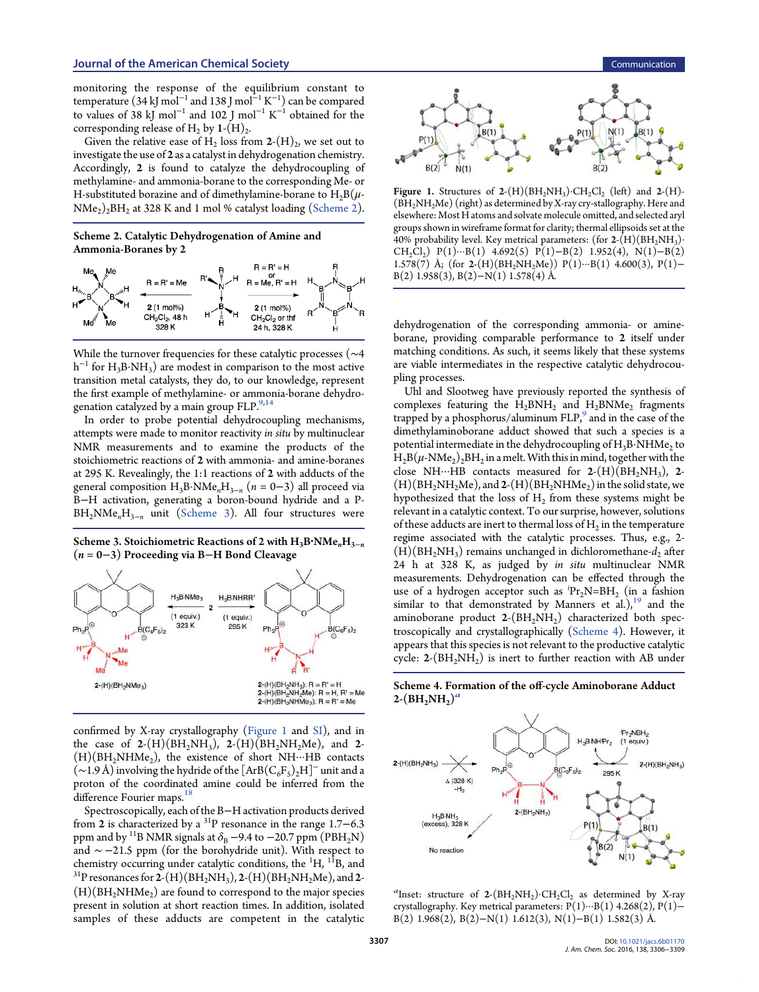monitoring the response of the equilibrium constant to temperature (34 kJ mol<sup>−1</sup> and 138 J mol<sup>−1</sup> K<sup>−1</sup>) can be compared to values of 38 kJ mol<sup>-1</sup> and 102 J mol<sup>-1</sup> K<sup>-1</sup> obtained for the corresponding release of H<sub>2</sub> by  $1-(H)_{2}$ . .

Given the relative ease of  $\mathrm{H}_2$  loss from 2- $(\mathrm{H})_2$ , we set out to investigate the use of 2 as a catalyst in dehydrogenation chemistry. Accordingly, 2 is found to catalyze the dehydrocoupling of methylamine- and ammonia-borane to the corresponding Me- or H-substituted borazine and of dimethylamine-borane to  $H_2B(\mu \rm NMe_2)_2BH_2$  at 328 K and 1 mol % catalyst loading (Scheme 2).

## Scheme 2. Catalytic Dehydrogenation of Amine and Ammonia-Boranes by 2



While the turnover frequencies for these catalytic processes (∼4  $h^{-1}$  for  $H_3B \cdot NH_3$ ) are modest in comparison to the most active transition metal catalysts, they do, to our knowledge, represent the first example of methylamine- or ammonia-borane dehydrogenation catalyzed by a main group FLP.<sup>9,14</sup>

In order to probe potential dehydrocoupling mechanisms, attempts were made to monitor reactivity in situ by multinuclear NMR measurements and to examine the products of the stoichiometric reactions of 2 with ammonia- and amine-boranes at 295 K. Revealingly, the 1:1 reactions of 2 with adducts of the general composition  $H_3B \cdot NMe_nH_{3-n}$   $(n = 0-3)$  all proceed via B−H activation, generating a boron-bound hydride and a P- $BH<sub>2</sub>NMe<sub>n</sub>H<sub>3-n</sub>$  unit (Scheme 3). All four structures were

Scheme 3. Stoichiometric Reactions of 2 with  $H_3B<sup>•</sup>NMe<sub>n</sub>H<sub>3−n</sub>$ (n = 0−3) Proceeding via B−H Bond Cleavage



confirmed by X-ray crystallography (Figure 1 and SI), and in the case of  $2-(H)(BH_2NH_3)$ ,  $2-(H)(BH_2NH_2Me)$ , and  $2 (H)(BH<sub>2</sub>NHMe<sub>2</sub>)$ , the existence of short NH $\cdots$ HB contacts  $(\sim\!1.9\,\text{\AA})$  involving the hydride of the  $[\rm{ArB} (C_6F_5)_2H]^-$  unit and a proton of the coordinated amine could be inferred from the difference Fourier maps.<sup>18</sup>

Spectroscopically, each of the B−H activation products derived from 2 is characterized by a <sup>31</sup>P resonance in the range 1.7−6.3 ppm and by <sup>11</sup>B NMR signals at  $\delta_B$  −9.4 to −20.7 ppm (PBH<sub>2</sub>N) and ∼ −21.5 ppm (for the borohydride unit). With respect to chemistry occurring under catalytic conditions, the  ${}^{1}H$ ,  ${}^{11}B$ , and  $^{31}{\rm P}$  resonances for 2-(H)(BH<sub>2</sub>NH<sub>3</sub>), 2-(H)(BH<sub>2</sub>NH<sub>2</sub>Me), and 2- $(H)(BH<sub>2</sub>NHMe<sub>2</sub>)$  are found to correspond to the major species present in solution at short reaction times. In addition, isolated samples of these adducts are competent in the catalytic



Figure 1. Structures of  $2-(H)(BH_2NH_3)\cdot CH_2Cl_2$  (left) and  $2-(H)$ - $(BH<sub>2</sub>NH<sub>2</sub>Me)$  (right) as determined by X-ray cry-stallography. Here and elsewhere: Most H atoms and solvate molecule omitted, and selected aryl groups shown in wireframe format for clarity; thermal ellipsoids set at the 40% probability level. Key metrical parameters: (for  $2\text{-}\left(H\right)(BH_2NH_3)$ )  $CH_2Cl_2$ ) P(1)···B(1) 4.692(5) P(1)−B(2) 1.952(4), N(1)−B(2) 1.578(7) Å; (for 2-(H)(BH<sub>2</sub>NH<sub>2</sub>Me)) P(1)···B(1) 4.600(3), P(1)-B(2) 1.958(3), B(2)−N(1) 1.578(4) Å.

dehydrogenation of the corresponding ammonia- or amineborane, providing comparable performance to 2 itself under matching conditions. As such, it seems likely that these systems are viable intermediates in the respective catalytic dehydrocoupling processes.

Uhl and Slootweg have previously reported the synthesis of complexes featuring the  $H_2$ BN $H_2$  and  $H_2$ BN $Me_2$  fragments trapped by a phosphorus/aluminum FLP,<sup>9</sup> and in the case of the dimethylaminoborane adduct showed that such a species is a potential intermediate in the dehydrocoupling of  $\rm H_3B\cdot NHMe_2$  to  $\rm H_2B(\mu\text{-}NMe_2)_2BH_2$  in a melt. With this in mind, together with the close NH···HB contacts measured for  $2-(H)(BH<sub>2</sub>NH<sub>3</sub>)$ , 2- $(H)(BH<sub>2</sub>NH<sub>2</sub>Me)$ , and  $2-(H)(BH<sub>2</sub>NHMe<sub>2</sub>)$  in the solid state, we hypothesized that the loss of  $\rm{H}_{2}$  from these systems might be relevant in a catalytic context. To our surprise, however, solutions of these adducts are inert to thermal loss of  $H_2$  in the temperature regime associated with the catalytic processes. Thus, e.g., 2-  $(H)(BH<sub>2</sub>NH<sub>3</sub>)$  remains unchanged in dichloromethane- $d<sub>2</sub>$  after 24 h at 328 K, as judged by in situ multinuclear NMR measurements. Dehydrogenation can be effected through the use of a hydrogen acceptor such as  $Pr_2N=BH_2$  (in a fashion similar to that demonstrated by Manners et al.), $19$  and the aminoborane product  $2-(BH_2NH_2)$  characterized both spectroscopically and crystallographically (Scheme 4). However, it appears that this species is not relevant to the productive catalytic cycle:  $2-(BH<sub>2</sub>NH<sub>2</sub>)$  is inert to further reaction with AB under





<sup>a</sup>Inset: structure of  $2-(BH_2NH_2)\cdot CH_2Cl_2$  as determined by X-ray crystallography. Key metrical parameters:  $P(1)\cdots B(1)$  4.268(2),  $P(1)$  – B(2) 1.968(2), B(2)−N(1) 1.612(3), N(1)−B(1) 1.582(3) Å.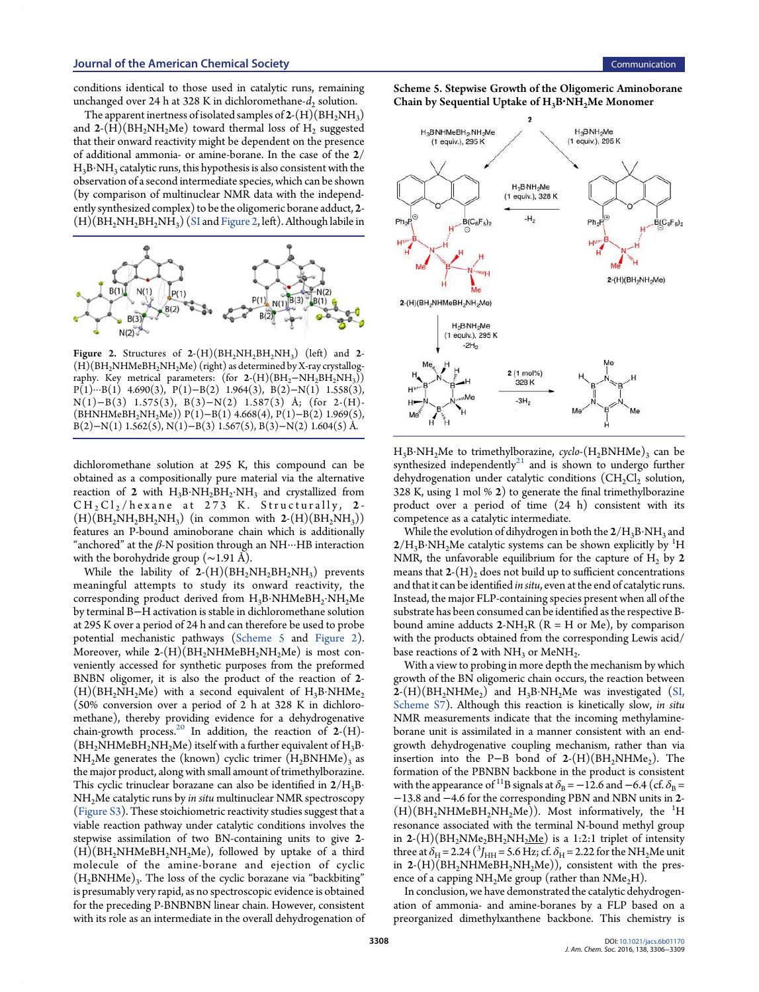conditions identical to those used in catalytic runs, remaining unchanged over 24 h at 328 K in dichloromethane- $d_2$  solution.

The apparent inertness of isolated samples of 2-(H)(BH<sub>2</sub>NH<sub>3</sub>) and 2- $(H)(BH_2NH_2Me)$  toward thermal loss of  $H_2$  suggested that their onward reactivity might be dependent on the presence of additional ammonia- or amine-borane. In the case of the 2/  $\rm H_3B\cdot NH_3$  catalytic runs, this hypothesis is also consistent with the observation of a second intermediate species, which can be shown (by comparison of multinuclear NMR data with the independently synthesized complex) to be the oligomeric borane adduct, 2- $(H)(BH<sub>2</sub>NH<sub>2</sub>BH<sub>2</sub>NH<sub>3</sub>)$  (SI and Figure 2, left). Although labile in



**Figure 2.** Structures of  $2-(H)(BH_2NH_2BH_2NH_3)$  (left) and 2- $(H)(BH<sub>2</sub>NHMeBH<sub>2</sub>NH<sub>2</sub>Me)$  (right) as determined by X-ray crystallography. Key metrical parameters:  $($  for 2- $(H)(BH_2-NH_2BH_2NH_3))$  $P(1)\cdots B(1)$  4.690(3),  $P(1)-B(2)$  1.964(3), B(2)-N(1) 1.558(3), N(1)−B(3) 1.575(3), B(3)−N(2) 1.587(3) Å; (for 2-(H)- (BHNHMeBH2NH2Me)) P(1)−B(1) 4.668(4), P(1)−B(2) 1.969(5), B(2)−N(1) 1.562(5), N(1)−B(3) 1.567(5), B(3)−N(2) 1.604(5) Å.

dichloromethane solution at 295 K, this compound can be obtained as a compositionally pure material via the alternative reaction of 2 with  $H_3B\cdot NH_2BH_2\cdot NH_3$  and crystallized from  $CH<sub>2</sub>Cl<sub>2</sub>/$ hexane at 273 K. Structurally, 2- $(H)(BH<sub>2</sub>NH<sub>2</sub>BH<sub>2</sub>NH<sub>3</sub>)$  (in common with  $2-(H)(BH<sub>2</sub>NH<sub>3</sub>)$ ) features an P-bound aminoborane chain which is additionally "anchored" at the  $\beta$ -N position through an NH $\cdots$ HB interaction with the borohydride group (∼1.91 Å).

While the lability of  $2-(H)(BH_2NH_2BH_2NH_3)$  prevents meaningful attempts to study its onward reactivity, the corresponding product derived from  $\text{H}_{3}\text{B-NHMeBH}_{2} \cdot \text{NH}_{2}\text{Me}$ by terminal B−H activation is stable in dichloromethane solution at 295 K over a period of 24 h and can therefore be used to probe potential mechanistic pathways (Scheme 5 and Figure 2). Moreover, while  $2-(H)(BH_2NH_2)$  is most conveniently accessed for synthetic purposes from the preformed BNBN oligomer, it is also the product of the reaction of 2-  $(H)(BH<sub>2</sub>NH<sub>2</sub>Me)$  with a second equivalent of H<sub>3</sub>B·NHMe<sub>2</sub> (50% conversion over a period of 2 h at 328 K in dichloromethane), thereby providing evidence for a dehydrogenative chain-growth process.<sup>20</sup> In addition, the reaction of  $2-(H)$ - $(BH<sub>2</sub>NHMeBH<sub>2</sub>NH<sub>2</sub>Me)$  itself with a further equivalent of  $H<sub>3</sub>B·$  $NH<sub>2</sub>Me$  generates the (known) cyclic trimer  $(H<sub>2</sub>BNHMe)<sub>3</sub>$  as the major product, along with small amount of trimethylborazine. This cyclic trinuclear borazane can also be identified in  $2/H_3B$ NH2Me catalytic runs by in situ multinuclear NMR spectroscopy (Figure S3). These stoichiometric reactivity studies suggest that a viable reaction pathway under catalytic conditions involves the stepwise assimilation of two BN-containing units to give 2-  $(H)(BH<sub>2</sub>NHMeBH<sub>2</sub>NH<sub>2</sub>Me)$ , followed by uptake of a third molecule of the amine-borane and ejection of cyclic  $(H_2BNHMe)_3$ . The loss of the cyclic borazane via "backbiting" is presumably very rapid, as no spectroscopic evidence is obtained for the preceding P-BNBNBN linear chain. However, consistent with its role as an intermediate in the overall dehydrogenation of Scheme 5. Stepwise Growth of the Oligomeric Aminoborane Chain by Sequential Uptake of  $H_3B<sup>1</sup>NH<sub>2</sub>Me Monomer$ 



 $H_3B\cdot NH_2Me$  to trimethylborazine, cyclo- $(H_2BNHMe)_3$  can be synthesized independently $^{21}$  and is shown to undergo further dehydrogenation under catalytic conditions  $(CH_2Cl_2$  solution, 328 K, using 1 mol % 2) to generate the final trimethylborazine product over a period of time (24 h) consistent with its competence as a catalytic intermediate.

While the evolution of dihydrogen in both the  $2/H_3\mathrm{B\cdot NH_3}$  and  $2/H_3B\cdot NH_2Me$  catalytic systems can be shown explicitly by <sup>1</sup>H NMR, the unfavorable equilibrium for the capture of  $H<sub>2</sub>$  by 2 means that  $2-(H)$ , does not build up to sufficient concentrations and that it can be identified in situ, even at the end of catalytic runs. Instead, the major FLP-containing species present when all of the substrate has been consumed can be identified as the respective Bbound amine adducts  $2-NH_2R$  ( $R = H$  or Me), by comparison with the products obtained from the corresponding Lewis acid/ base reactions of 2 with  $NH<sub>3</sub>$  or MeNH<sub>2</sub>. .

With a view to probing in more depth the mechanism by which growth of the BN oligomeric chain occurs, the reaction between  $\mathbf{2}$ -(H)(BH<sub>2</sub>NHMe<sub>2</sub>) and H<sub>3</sub>B·NH<sub>2</sub>Me was investigated (SI, Scheme S7). Although this reaction is kinetically slow, in situ NMR measurements indicate that the incoming methylamineborane unit is assimilated in a manner consistent with an endgrowth dehydrogenative coupling mechanism, rather than via insertion into the P–B bond of  $2-(H)(BH_2NHMe_2)$ . The formation of the PBNBN backbone in the product is consistent with the appearance of <sup>11</sup>B signals at  $\delta_B$  = −12.6 and −6.4 (cf.  $\delta_B$  = −13.8 and −4.6 for the corresponding PBN and NBN units in 2-  $(H)(BH<sub>2</sub>NHMeBH<sub>2</sub>NH<sub>2</sub>Me)$ . Most informatively, the <sup>1</sup>H resonance associated with the terminal N-bound methyl group in 2- $(H)(BH<sub>2</sub>NMe<sub>2</sub>BH<sub>2</sub>NH<sub>2</sub>Me)$  is a 1:2:1 triplet of intensity three at  $\delta_{\rm H}$  = 2.24 ( $^3$ J<sub>HH</sub> = 5.6 Hz; cf.  $\delta_{\rm H}$  = 2.22 for the NH<sub>2</sub>Me unit in  $2-(H)(BH<sub>2</sub>NHMeBH<sub>2</sub>NH<sub>2</sub>Me)$ , consistent with the presence of a capping  $NH<sub>2</sub>Me$  group (rather than  $NMe<sub>2</sub>H$ ).

In conclusion, we have demonstrated the catalytic dehydrogenation of ammonia- and amine-boranes by a FLP based on a preorganized dimethylxanthene backbone. This chemistry is